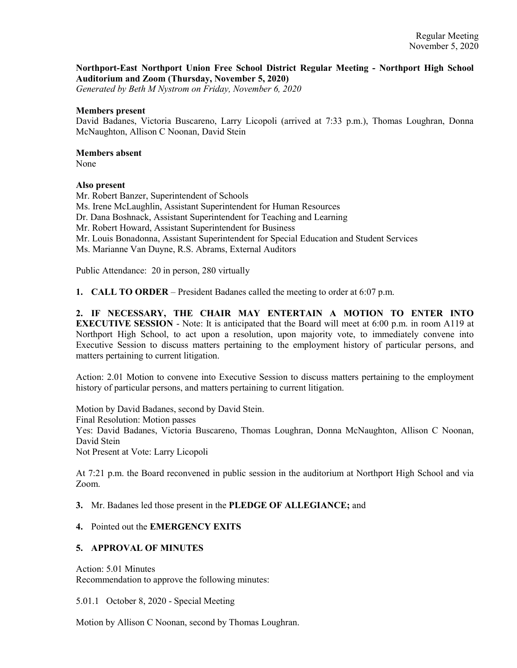## Northport-East Northport Union Free School District Regular Meeting - Northport High School Auditorium and Zoom (Thursday, November 5, 2020)

Generated by Beth M Nystrom on Friday, November 6, 2020

#### Members present

David Badanes, Victoria Buscareno, Larry Licopoli (arrived at 7:33 p.m.), Thomas Loughran, Donna McNaughton, Allison C Noonan, David Stein

### Members absent

None

## Also present

Mr. Robert Banzer, Superintendent of Schools Ms. Irene McLaughlin, Assistant Superintendent for Human Resources Dr. Dana Boshnack, Assistant Superintendent for Teaching and Learning Mr. Robert Howard, Assistant Superintendent for Business Mr. Louis Bonadonna, Assistant Superintendent for Special Education and Student Services Ms. Marianne Van Duyne, R.S. Abrams, External Auditors Public Attendance: 20 in person, 280 virtually

1. CALL TO ORDER – President Badanes called the meeting to order at 6:07 p.m.

2. IF NECESSARY, THE CHAIR MAY ENTERTAIN A MOTION TO ENTER INTO EXECUTIVE SESSION - Note: It is anticipated that the Board will meet at 6:00 p.m. in room A119 at Northport High School, to act upon a resolution, upon majority vote, to immediately convene into Executive Session to discuss matters pertaining to the employment history of particular persons, and matters pertaining to current litigation.

Action: 2.01 Motion to convene into Executive Session to discuss matters pertaining to the employment history of particular persons, and matters pertaining to current litigation.

Motion by David Badanes, second by David Stein.

Final Resolution: Motion passes

Yes: David Badanes, Victoria Buscareno, Thomas Loughran, Donna McNaughton, Allison C Noonan, David Stein

Not Present at Vote: Larry Licopoli

At 7:21 p.m. the Board reconvened in public session in the auditorium at Northport High School and via Zoom.

3. Mr. Badanes led those present in the PLEDGE OF ALLEGIANCE; and

# 4. Pointed out the EMERGENCY EXITS

## 5. APPROVAL OF MINUTES

Action: 5.01 Minutes Recommendation to approve the following minutes:

5.01.1 October 8, 2020 - Special Meeting

Motion by Allison C Noonan, second by Thomas Loughran.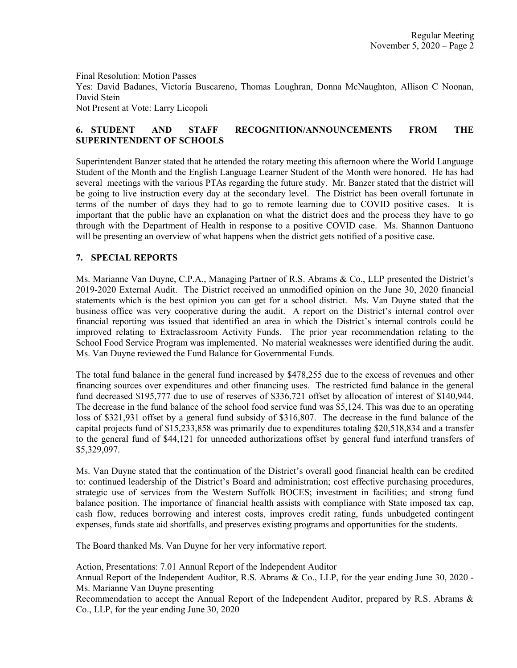Final Resolution: Motion Passes Yes: David Badanes, Victoria Buscareno, Thomas Loughran, Donna McNaughton, Allison C Noonan, David Stein Not Present at Vote: Larry Licopoli

# 6. STUDENT AND STAFF RECOGNITION/ANNOUNCEMENTS FROM THE SUPERINTENDENT OF SCHOOLS

Superintendent Banzer stated that he attended the rotary meeting this afternoon where the World Language Student of the Month and the English Language Learner Student of the Month were honored. He has had several meetings with the various PTAs regarding the future study. Mr. Banzer stated that the district will be going to live instruction every day at the secondary level. The District has been overall fortunate in terms of the number of days they had to go to remote learning due to COVID positive cases. It is important that the public have an explanation on what the district does and the process they have to go through with the Department of Health in response to a positive COVID case. Ms. Shannon Dantuono will be presenting an overview of what happens when the district gets notified of a positive case.

# 7. SPECIAL REPORTS

Ms. Marianne Van Duyne, C.P.A., Managing Partner of R.S. Abrams & Co., LLP presented the District's 2019-2020 External Audit. The District received an unmodified opinion on the June 30, 2020 financial statements which is the best opinion you can get for a school district. Ms. Van Duyne stated that the business office was very cooperative during the audit. A report on the District's internal control over financial reporting was issued that identified an area in which the District's internal controls could be improved relating to Extraclassroom Activity Funds. The prior year recommendation relating to the School Food Service Program was implemented. No material weaknesses were identified during the audit. Ms. Van Duyne reviewed the Fund Balance for Governmental Funds.

The total fund balance in the general fund increased by \$478,255 due to the excess of revenues and other financing sources over expenditures and other financing uses. The restricted fund balance in the general fund decreased \$195,777 due to use of reserves of \$336,721 offset by allocation of interest of \$140,944. The decrease in the fund balance of the school food service fund was \$5,124. This was due to an operating loss of \$321,931 offset by a general fund subsidy of \$316,807. The decrease in the fund balance of the capital projects fund of \$15,233,858 was primarily due to expenditures totaling \$20,518,834 and a transfer to the general fund of \$44,121 for unneeded authorizations offset by general fund interfund transfers of \$5,329,097.

Ms. Van Duyne stated that the continuation of the District's overall good financial health can be credited to: continued leadership of the District's Board and administration; cost effective purchasing procedures, strategic use of services from the Western Suffolk BOCES; investment in facilities; and strong fund balance position. The importance of financial health assists with compliance with State imposed tax cap, cash flow, reduces borrowing and interest costs, improves credit rating, funds unbudgeted contingent expenses, funds state aid shortfalls, and preserves existing programs and opportunities for the students.

The Board thanked Ms. Van Duyne for her very informative report.

Action, Presentations: 7.01 Annual Report of the Independent Auditor

Annual Report of the Independent Auditor, R.S. Abrams & Co., LLP, for the year ending June 30, 2020 - Ms. Marianne Van Duyne presenting

Recommendation to accept the Annual Report of the Independent Auditor, prepared by R.S. Abrams & Co., LLP, for the year ending June 30, 2020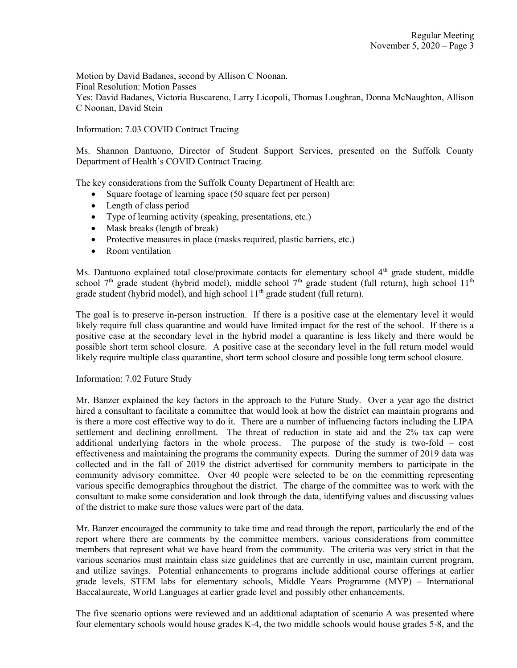Motion by David Badanes, second by Allison C Noonan. Final Resolution: Motion Passes Yes: David Badanes, Victoria Buscareno, Larry Licopoli, Thomas Loughran, Donna McNaughton, Allison C Noonan, David Stein

Information: 7.03 COVID Contract Tracing

Ms. Shannon Dantuono, Director of Student Support Services, presented on the Suffolk County Department of Health's COVID Contract Tracing.

The key considerations from the Suffolk County Department of Health are:

- Square footage of learning space (50 square feet per person)
- Length of class period
- Type of learning activity (speaking, presentations, etc.)
- Mask breaks (length of break)
- Protective measures in place (masks required, plastic barriers, etc.)
- Room ventilation

Ms. Dantuono explained total close/proximate contacts for elementary school 4<sup>th</sup> grade student, middle school  $7<sup>th</sup>$  grade student (hybrid model), middle school  $7<sup>th</sup>$  grade student (full return), high school  $11<sup>th</sup>$ grade student (hybrid model), and high school  $11<sup>th</sup>$  grade student (full return).

The goal is to preserve in-person instruction. If there is a positive case at the elementary level it would likely require full class quarantine and would have limited impact for the rest of the school. If there is a positive case at the secondary level in the hybrid model a quarantine is less likely and there would be possible short term school closure. A positive case at the secondary level in the full return model would likely require multiple class quarantine, short term school closure and possible long term school closure.

#### Information: 7.02 Future Study

Mr. Banzer explained the key factors in the approach to the Future Study. Over a year ago the district hired a consultant to facilitate a committee that would look at how the district can maintain programs and is there a more cost effective way to do it. There are a number of influencing factors including the LIPA settlement and declining enrollment. The threat of reduction in state aid and the 2% tax cap were additional underlying factors in the whole process. The purpose of the study is two-fold – cost effectiveness and maintaining the programs the community expects. During the summer of 2019 data was collected and in the fall of 2019 the district advertised for community members to participate in the community advisory committee. Over 40 people were selected to be on the committing representing various specific demographics throughout the district. The charge of the committee was to work with the consultant to make some consideration and look through the data, identifying values and discussing values of the district to make sure those values were part of the data.

Mr. Banzer encouraged the community to take time and read through the report, particularly the end of the report where there are comments by the committee members, various considerations from committee members that represent what we have heard from the community. The criteria was very strict in that the various scenarios must maintain class size guidelines that are currently in use, maintain current program, and utilize savings. Potential enhancements to programs include additional course offerings at earlier grade levels, STEM labs for elementary schools, Middle Years Programme (MYP) – International Baccalaureate, World Languages at earlier grade level and possibly other enhancements.

The five scenario options were reviewed and an additional adaptation of scenario A was presented where four elementary schools would house grades K-4, the two middle schools would house grades 5-8, and the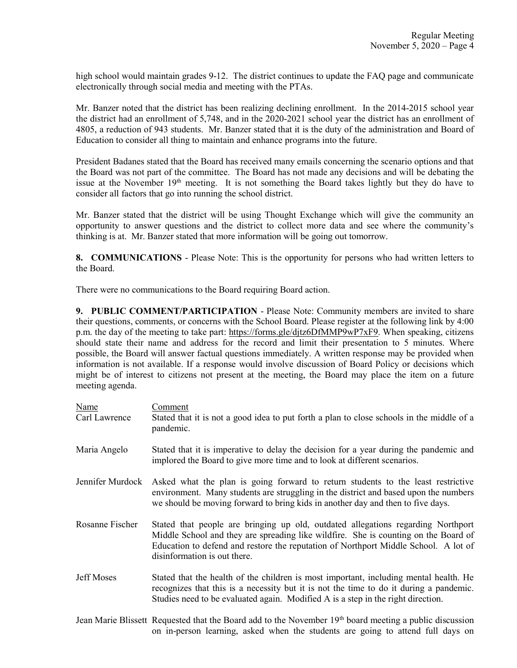high school would maintain grades 9-12. The district continues to update the FAQ page and communicate electronically through social media and meeting with the PTAs.

Mr. Banzer noted that the district has been realizing declining enrollment. In the 2014-2015 school year the district had an enrollment of 5,748, and in the 2020-2021 school year the district has an enrollment of 4805, a reduction of 943 students. Mr. Banzer stated that it is the duty of the administration and Board of Education to consider all thing to maintain and enhance programs into the future.

President Badanes stated that the Board has received many emails concerning the scenario options and that the Board was not part of the committee. The Board has not made any decisions and will be debating the issue at the November  $19<sup>th</sup>$  meeting. It is not something the Board takes lightly but they do have to consider all factors that go into running the school district.

Mr. Banzer stated that the district will be using Thought Exchange which will give the community an opportunity to answer questions and the district to collect more data and see where the community's thinking is at. Mr. Banzer stated that more information will be going out tomorrow.

8. COMMUNICATIONS - Please Note: This is the opportunity for persons who had written letters to the Board.

There were no communications to the Board requiring Board action.

9. PUBLIC COMMENT/PARTICIPATION - Please Note: Community members are invited to share their questions, comments, or concerns with the School Board. Please register at the following link by 4:00 p.m. the day of the meeting to take part: https://forms.gle/djtz6DfMMP9wP7xF9. When speaking, citizens should state their name and address for the record and limit their presentation to 5 minutes. Where possible, the Board will answer factual questions immediately. A written response may be provided when information is not available. If a response would involve discussion of Board Policy or decisions which might be of interest to citizens not present at the meeting, the Board may place the item on a future meeting agenda.

| Name<br>Carl Lawrence | Comment<br>Stated that it is not a good idea to put forth a plan to close schools in the middle of a<br>pandemic.                                                                                                                                                                              |
|-----------------------|------------------------------------------------------------------------------------------------------------------------------------------------------------------------------------------------------------------------------------------------------------------------------------------------|
| Maria Angelo          | Stated that it is imperative to delay the decision for a year during the pandemic and<br>implored the Board to give more time and to look at different scenarios.                                                                                                                              |
| Jennifer Murdock      | Asked what the plan is going forward to return students to the least restrictive<br>environment. Many students are struggling in the district and based upon the numbers<br>we should be moving forward to bring kids in another day and then to five days.                                    |
| Rosanne Fischer       | Stated that people are bringing up old, outdated allegations regarding Northport<br>Middle School and they are spreading like wildfire. She is counting on the Board of<br>Education to defend and restore the reputation of Northport Middle School. A lot of<br>disinformation is out there. |
| <b>Jeff Moses</b>     | Stated that the health of the children is most important, including mental health. He<br>recognizes that this is a necessity but it is not the time to do it during a pandemic.<br>Studies need to be evaluated again. Modified A is a step in the right direction.                            |
|                       | Jean Marie Blissett Requested that the Board add to the November 19 <sup>th</sup> board meeting a public discussion                                                                                                                                                                            |

on in-person learning, asked when the students are going to attend full days on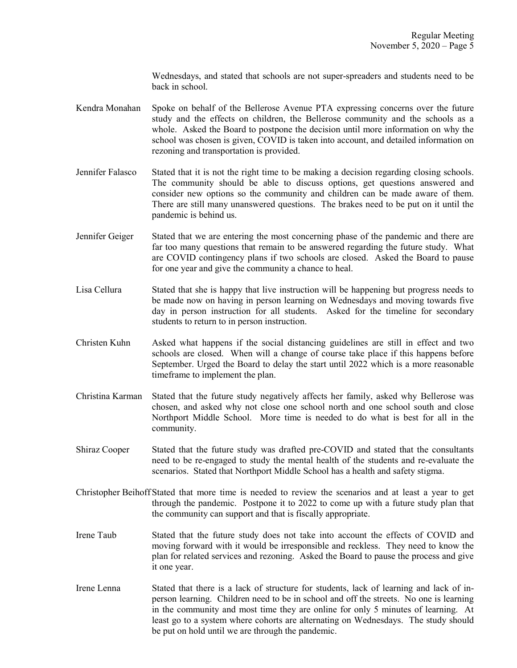Wednesdays, and stated that schools are not super-spreaders and students need to be back in school.

- Kendra Monahan Spoke on behalf of the Bellerose Avenue PTA expressing concerns over the future study and the effects on children, the Bellerose community and the schools as a whole. Asked the Board to postpone the decision until more information on why the school was chosen is given, COVID is taken into account, and detailed information on rezoning and transportation is provided.
- Jennifer Falasco Stated that it is not the right time to be making a decision regarding closing schools. The community should be able to discuss options, get questions answered and consider new options so the community and children can be made aware of them. There are still many unanswered questions. The brakes need to be put on it until the pandemic is behind us.
- Jennifer Geiger Stated that we are entering the most concerning phase of the pandemic and there are far too many questions that remain to be answered regarding the future study. What are COVID contingency plans if two schools are closed. Asked the Board to pause for one year and give the community a chance to heal.
- Lisa Cellura Stated that she is happy that live instruction will be happening but progress needs to be made now on having in person learning on Wednesdays and moving towards five day in person instruction for all students. Asked for the timeline for secondary students to return to in person instruction.
- Christen Kuhn Asked what happens if the social distancing guidelines are still in effect and two schools are closed. When will a change of course take place if this happens before September. Urged the Board to delay the start until 2022 which is a more reasonable timeframe to implement the plan.
- Christina Karman Stated that the future study negatively affects her family, asked why Bellerose was chosen, and asked why not close one school north and one school south and close Northport Middle School. More time is needed to do what is best for all in the community.
- Shiraz Cooper Stated that the future study was drafted pre-COVID and stated that the consultants need to be re-engaged to study the mental health of the students and re-evaluate the scenarios. Stated that Northport Middle School has a health and safety stigma.
- Christopher Beihoff Stated that more time is needed to review the scenarios and at least a year to get through the pandemic. Postpone it to 2022 to come up with a future study plan that the community can support and that is fiscally appropriate.
- Irene Taub Stated that the future study does not take into account the effects of COVID and moving forward with it would be irresponsible and reckless. They need to know the plan for related services and rezoning. Asked the Board to pause the process and give it one year.
- Irene Lenna Stated that there is a lack of structure for students, lack of learning and lack of inperson learning. Children need to be in school and off the streets. No one is learning in the community and most time they are online for only 5 minutes of learning. At least go to a system where cohorts are alternating on Wednesdays. The study should be put on hold until we are through the pandemic.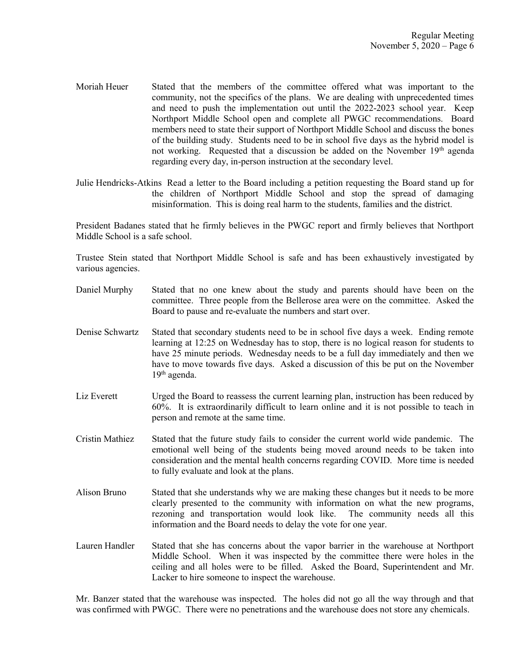Moriah Heuer Stated that the members of the committee offered what was important to the community, not the specifics of the plans. We are dealing with unprecedented times and need to push the implementation out until the 2022-2023 school year. Keep Northport Middle School open and complete all PWGC recommendations. Board members need to state their support of Northport Middle School and discuss the bones of the building study. Students need to be in school five days as the hybrid model is not working. Requested that a discussion be added on the November  $19<sup>th</sup>$  agenda regarding every day, in-person instruction at the secondary level.

Julie Hendricks-Atkins Read a letter to the Board including a petition requesting the Board stand up for the children of Northport Middle School and stop the spread of damaging misinformation. This is doing real harm to the students, families and the district.

President Badanes stated that he firmly believes in the PWGC report and firmly believes that Northport Middle School is a safe school.

Trustee Stein stated that Northport Middle School is safe and has been exhaustively investigated by various agencies.

- Daniel Murphy Stated that no one knew about the study and parents should have been on the committee. Three people from the Bellerose area were on the committee. Asked the Board to pause and re-evaluate the numbers and start over.
- Denise Schwartz Stated that secondary students need to be in school five days a week. Ending remote learning at 12:25 on Wednesday has to stop, there is no logical reason for students to have 25 minute periods. Wednesday needs to be a full day immediately and then we have to move towards five days. Asked a discussion of this be put on the November  $19<sup>th</sup>$  agenda.
- Liz Everett Urged the Board to reassess the current learning plan, instruction has been reduced by 60%. It is extraordinarily difficult to learn online and it is not possible to teach in person and remote at the same time.
- Cristin Mathiez Stated that the future study fails to consider the current world wide pandemic. The emotional well being of the students being moved around needs to be taken into consideration and the mental health concerns regarding COVID. More time is needed to fully evaluate and look at the plans.
- Alison Bruno Stated that she understands why we are making these changes but it needs to be more clearly presented to the community with information on what the new programs, rezoning and transportation would look like. The community needs all this information and the Board needs to delay the vote for one year.
- Lauren Handler Stated that she has concerns about the vapor barrier in the warehouse at Northport Middle School. When it was inspected by the committee there were holes in the ceiling and all holes were to be filled. Asked the Board, Superintendent and Mr. Lacker to hire someone to inspect the warehouse.

Mr. Banzer stated that the warehouse was inspected. The holes did not go all the way through and that was confirmed with PWGC. There were no penetrations and the warehouse does not store any chemicals.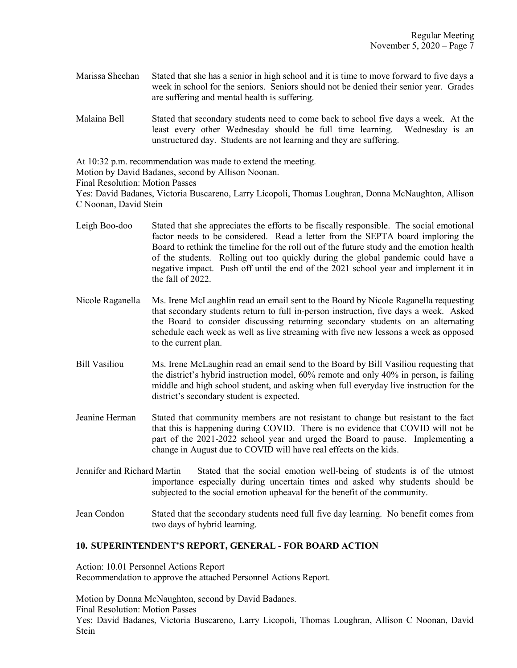- Marissa Sheehan Stated that she has a senior in high school and it is time to move forward to five days a week in school for the seniors. Seniors should not be denied their senior year. Grades are suffering and mental health is suffering.
- Malaina Bell Stated that secondary students need to come back to school five days a week. At the least every other Wednesday should be full time learning. Wednesday is an unstructured day. Students are not learning and they are suffering.

At 10:32 p.m. recommendation was made to extend the meeting.

Motion by David Badanes, second by Allison Noonan.

Final Resolution: Motion Passes

Yes: David Badanes, Victoria Buscareno, Larry Licopoli, Thomas Loughran, Donna McNaughton, Allison C Noonan, David Stein

- Leigh Boo-doo Stated that she appreciates the efforts to be fiscally responsible. The social emotional factor needs to be considered. Read a letter from the SEPTA board imploring the Board to rethink the timeline for the roll out of the future study and the emotion health of the students. Rolling out too quickly during the global pandemic could have a negative impact. Push off until the end of the 2021 school year and implement it in the fall of 2022.
- Nicole Raganella Ms. Irene McLaughlin read an email sent to the Board by Nicole Raganella requesting that secondary students return to full in-person instruction, five days a week. Asked the Board to consider discussing returning secondary students on an alternating schedule each week as well as live streaming with five new lessons a week as opposed to the current plan.
- Bill Vasiliou Ms. Irene McLaughin read an email send to the Board by Bill Vasiliou requesting that the district's hybrid instruction model, 60% remote and only 40% in person, is failing middle and high school student, and asking when full everyday live instruction for the district's secondary student is expected.
- Jeanine Herman Stated that community members are not resistant to change but resistant to the fact that this is happening during COVID. There is no evidence that COVID will not be part of the 2021-2022 school year and urged the Board to pause. Implementing a change in August due to COVID will have real effects on the kids.
- Jennifer and Richard Martin Stated that the social emotion well-being of students is of the utmost importance especially during uncertain times and asked why students should be subjected to the social emotion upheaval for the benefit of the community.
- Jean Condon Stated that the secondary students need full five day learning. No benefit comes from two days of hybrid learning.

## 10. SUPERINTENDENT'S REPORT, GENERAL - FOR BOARD ACTION

Action: 10.01 Personnel Actions Report Recommendation to approve the attached Personnel Actions Report.

Motion by Donna McNaughton, second by David Badanes. Final Resolution: Motion Passes Yes: David Badanes, Victoria Buscareno, Larry Licopoli, Thomas Loughran, Allison C Noonan, David Stein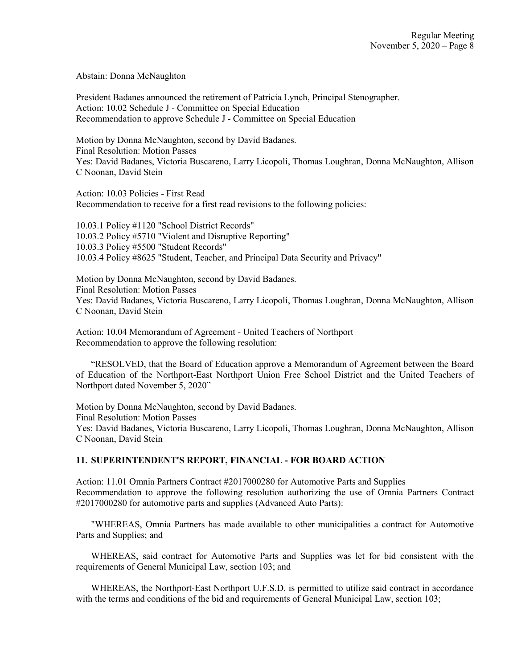Abstain: Donna McNaughton

President Badanes announced the retirement of Patricia Lynch, Principal Stenographer. Action: 10.02 Schedule J - Committee on Special Education Recommendation to approve Schedule J - Committee on Special Education

Motion by Donna McNaughton, second by David Badanes. Final Resolution: Motion Passes Yes: David Badanes, Victoria Buscareno, Larry Licopoli, Thomas Loughran, Donna McNaughton, Allison C Noonan, David Stein

Action: 10.03 Policies - First Read Recommendation to receive for a first read revisions to the following policies:

10.03.1 Policy #1120 "School District Records" 10.03.2 Policy #5710 "Violent and Disruptive Reporting" 10.03.3 Policy #5500 "Student Records" 10.03.4 Policy #8625 "Student, Teacher, and Principal Data Security and Privacy"

Motion by Donna McNaughton, second by David Badanes. Final Resolution: Motion Passes Yes: David Badanes, Victoria Buscareno, Larry Licopoli, Thomas Loughran, Donna McNaughton, Allison C Noonan, David Stein

Action: 10.04 Memorandum of Agreement - United Teachers of Northport Recommendation to approve the following resolution:

 "RESOLVED, that the Board of Education approve a Memorandum of Agreement between the Board of Education of the Northport-East Northport Union Free School District and the United Teachers of Northport dated November 5, 2020"

Motion by Donna McNaughton, second by David Badanes. Final Resolution: Motion Passes Yes: David Badanes, Victoria Buscareno, Larry Licopoli, Thomas Loughran, Donna McNaughton, Allison C Noonan, David Stein

## 11. SUPERINTENDENT'S REPORT, FINANCIAL - FOR BOARD ACTION

Action: 11.01 Omnia Partners Contract #2017000280 for Automotive Parts and Supplies Recommendation to approve the following resolution authorizing the use of Omnia Partners Contract #2017000280 for automotive parts and supplies (Advanced Auto Parts):

 "WHEREAS, Omnia Partners has made available to other municipalities a contract for Automotive Parts and Supplies; and

 WHEREAS, said contract for Automotive Parts and Supplies was let for bid consistent with the requirements of General Municipal Law, section 103; and

 WHEREAS, the Northport-East Northport U.F.S.D. is permitted to utilize said contract in accordance with the terms and conditions of the bid and requirements of General Municipal Law, section 103;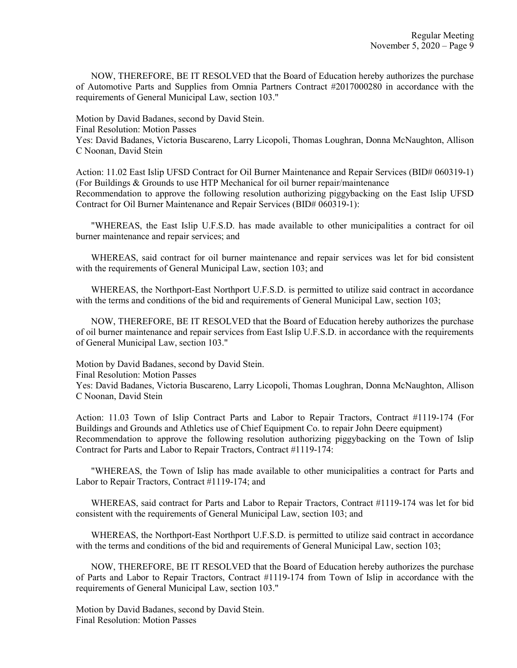NOW, THEREFORE, BE IT RESOLVED that the Board of Education hereby authorizes the purchase of Automotive Parts and Supplies from Omnia Partners Contract #2017000280 in accordance with the requirements of General Municipal Law, section 103."

Motion by David Badanes, second by David Stein. Final Resolution: Motion Passes Yes: David Badanes, Victoria Buscareno, Larry Licopoli, Thomas Loughran, Donna McNaughton, Allison C Noonan, David Stein

Action: 11.02 East Islip UFSD Contract for Oil Burner Maintenance and Repair Services (BID# 060319-1) (For Buildings & Grounds to use HTP Mechanical for oil burner repair/maintenance Recommendation to approve the following resolution authorizing piggybacking on the East Islip UFSD Contract for Oil Burner Maintenance and Repair Services (BID# 060319-1):

 "WHEREAS, the East Islip U.F.S.D. has made available to other municipalities a contract for oil burner maintenance and repair services; and

 WHEREAS, said contract for oil burner maintenance and repair services was let for bid consistent with the requirements of General Municipal Law, section 103; and

 WHEREAS, the Northport-East Northport U.F.S.D. is permitted to utilize said contract in accordance with the terms and conditions of the bid and requirements of General Municipal Law, section 103;

 NOW, THEREFORE, BE IT RESOLVED that the Board of Education hereby authorizes the purchase of oil burner maintenance and repair services from East Islip U.F.S.D. in accordance with the requirements of General Municipal Law, section 103."

Motion by David Badanes, second by David Stein.

Final Resolution: Motion Passes

Yes: David Badanes, Victoria Buscareno, Larry Licopoli, Thomas Loughran, Donna McNaughton, Allison C Noonan, David Stein

Action: 11.03 Town of Islip Contract Parts and Labor to Repair Tractors, Contract #1119-174 (For Buildings and Grounds and Athletics use of Chief Equipment Co. to repair John Deere equipment) Recommendation to approve the following resolution authorizing piggybacking on the Town of Islip Contract for Parts and Labor to Repair Tractors, Contract #1119-174:

 "WHEREAS, the Town of Islip has made available to other municipalities a contract for Parts and Labor to Repair Tractors, Contract #1119-174; and

 WHEREAS, said contract for Parts and Labor to Repair Tractors, Contract #1119-174 was let for bid consistent with the requirements of General Municipal Law, section 103; and

 WHEREAS, the Northport-East Northport U.F.S.D. is permitted to utilize said contract in accordance with the terms and conditions of the bid and requirements of General Municipal Law, section 103;

 NOW, THEREFORE, BE IT RESOLVED that the Board of Education hereby authorizes the purchase of Parts and Labor to Repair Tractors, Contract #1119-174 from Town of Islip in accordance with the requirements of General Municipal Law, section 103."

Motion by David Badanes, second by David Stein. Final Resolution: Motion Passes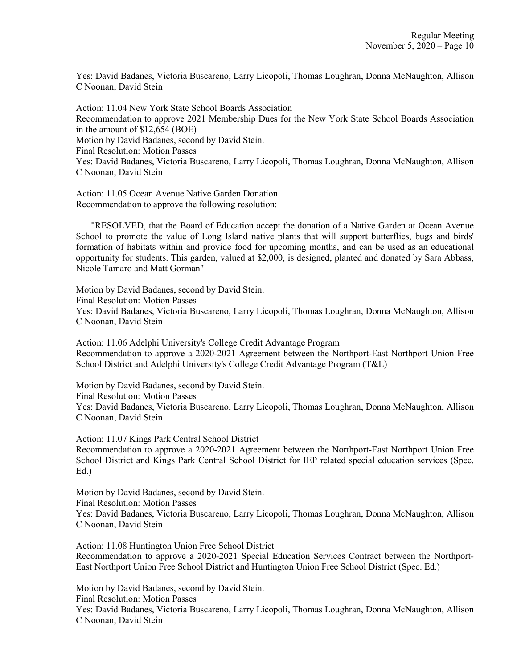Yes: David Badanes, Victoria Buscareno, Larry Licopoli, Thomas Loughran, Donna McNaughton, Allison C Noonan, David Stein

Action: 11.04 New York State School Boards Association Recommendation to approve 2021 Membership Dues for the New York State School Boards Association in the amount of \$12,654 (BOE) Motion by David Badanes, second by David Stein. Final Resolution: Motion Passes Yes: David Badanes, Victoria Buscareno, Larry Licopoli, Thomas Loughran, Donna McNaughton, Allison C Noonan, David Stein

Action: 11.05 Ocean Avenue Native Garden Donation Recommendation to approve the following resolution:

 "RESOLVED, that the Board of Education accept the donation of a Native Garden at Ocean Avenue School to promote the value of Long Island native plants that will support butterflies, bugs and birds' formation of habitats within and provide food for upcoming months, and can be used as an educational opportunity for students. This garden, valued at \$2,000, is designed, planted and donated by Sara Abbass, Nicole Tamaro and Matt Gorman"

Motion by David Badanes, second by David Stein. Final Resolution: Motion Passes Yes: David Badanes, Victoria Buscareno, Larry Licopoli, Thomas Loughran, Donna McNaughton, Allison C Noonan, David Stein

Action: 11.06 Adelphi University's College Credit Advantage Program Recommendation to approve a 2020-2021 Agreement between the Northport-East Northport Union Free School District and Adelphi University's College Credit Advantage Program (T&L)

Motion by David Badanes, second by David Stein. Final Resolution: Motion Passes Yes: David Badanes, Victoria Buscareno, Larry Licopoli, Thomas Loughran, Donna McNaughton, Allison C Noonan, David Stein

Action: 11.07 Kings Park Central School District Recommendation to approve a 2020-2021 Agreement between the Northport-East Northport Union Free School District and Kings Park Central School District for IEP related special education services (Spec. Ed.)

Motion by David Badanes, second by David Stein. Final Resolution: Motion Passes Yes: David Badanes, Victoria Buscareno, Larry Licopoli, Thomas Loughran, Donna McNaughton, Allison C Noonan, David Stein

Action: 11.08 Huntington Union Free School District Recommendation to approve a 2020-2021 Special Education Services Contract between the Northport-East Northport Union Free School District and Huntington Union Free School District (Spec. Ed.)

Motion by David Badanes, second by David Stein.

Final Resolution: Motion Passes

Yes: David Badanes, Victoria Buscareno, Larry Licopoli, Thomas Loughran, Donna McNaughton, Allison C Noonan, David Stein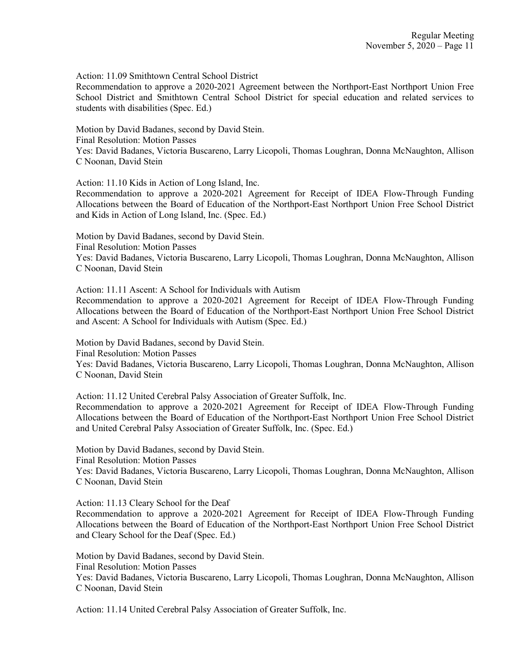Action: 11.09 Smithtown Central School District

Recommendation to approve a 2020-2021 Agreement between the Northport-East Northport Union Free School District and Smithtown Central School District for special education and related services to students with disabilities (Spec. Ed.)

Motion by David Badanes, second by David Stein.

Final Resolution: Motion Passes

Yes: David Badanes, Victoria Buscareno, Larry Licopoli, Thomas Loughran, Donna McNaughton, Allison C Noonan, David Stein

Action: 11.10 Kids in Action of Long Island, Inc.

Recommendation to approve a 2020-2021 Agreement for Receipt of IDEA Flow-Through Funding Allocations between the Board of Education of the Northport-East Northport Union Free School District and Kids in Action of Long Island, Inc. (Spec. Ed.)

Motion by David Badanes, second by David Stein. Final Resolution: Motion Passes Yes: David Badanes, Victoria Buscareno, Larry Licopoli, Thomas Loughran, Donna McNaughton, Allison C Noonan, David Stein

Action: 11.11 Ascent: A School for Individuals with Autism

Recommendation to approve a 2020-2021 Agreement for Receipt of IDEA Flow-Through Funding Allocations between the Board of Education of the Northport-East Northport Union Free School District and Ascent: A School for Individuals with Autism (Spec. Ed.)

Motion by David Badanes, second by David Stein.

Final Resolution: Motion Passes

Yes: David Badanes, Victoria Buscareno, Larry Licopoli, Thomas Loughran, Donna McNaughton, Allison C Noonan, David Stein

Action: 11.12 United Cerebral Palsy Association of Greater Suffolk, Inc.

Recommendation to approve a 2020-2021 Agreement for Receipt of IDEA Flow-Through Funding Allocations between the Board of Education of the Northport-East Northport Union Free School District and United Cerebral Palsy Association of Greater Suffolk, Inc. (Spec. Ed.)

Motion by David Badanes, second by David Stein.

Final Resolution: Motion Passes

Yes: David Badanes, Victoria Buscareno, Larry Licopoli, Thomas Loughran, Donna McNaughton, Allison C Noonan, David Stein

Action: 11.13 Cleary School for the Deaf

Recommendation to approve a 2020-2021 Agreement for Receipt of IDEA Flow-Through Funding Allocations between the Board of Education of the Northport-East Northport Union Free School District and Cleary School for the Deaf (Spec. Ed.)

Motion by David Badanes, second by David Stein. Final Resolution: Motion Passes Yes: David Badanes, Victoria Buscareno, Larry Licopoli, Thomas Loughran, Donna McNaughton, Allison C Noonan, David Stein

Action: 11.14 United Cerebral Palsy Association of Greater Suffolk, Inc.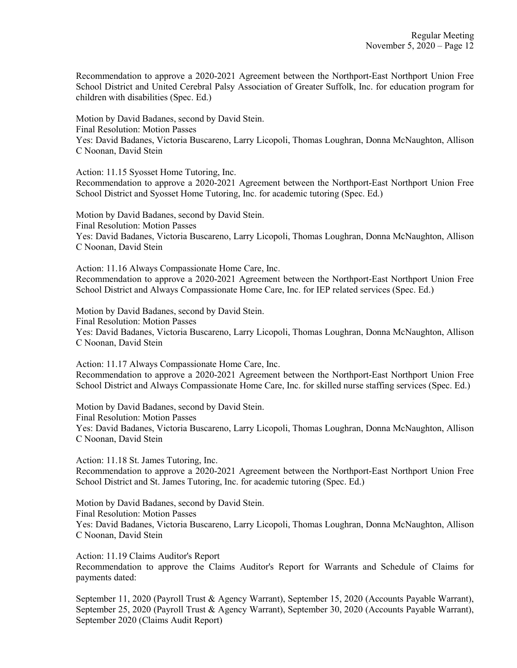Recommendation to approve a 2020-2021 Agreement between the Northport-East Northport Union Free School District and United Cerebral Palsy Association of Greater Suffolk, Inc. for education program for children with disabilities (Spec. Ed.)

Motion by David Badanes, second by David Stein. Final Resolution: Motion Passes Yes: David Badanes, Victoria Buscareno, Larry Licopoli, Thomas Loughran, Donna McNaughton, Allison C Noonan, David Stein

Action: 11.15 Syosset Home Tutoring, Inc. Recommendation to approve a 2020-2021 Agreement between the Northport-East Northport Union Free School District and Syosset Home Tutoring, Inc. for academic tutoring (Spec. Ed.)

Motion by David Badanes, second by David Stein. Final Resolution: Motion Passes Yes: David Badanes, Victoria Buscareno, Larry Licopoli, Thomas Loughran, Donna McNaughton, Allison C Noonan, David Stein

Action: 11.16 Always Compassionate Home Care, Inc. Recommendation to approve a 2020-2021 Agreement between the Northport-East Northport Union Free School District and Always Compassionate Home Care, Inc. for IEP related services (Spec. Ed.)

Motion by David Badanes, second by David Stein.

Final Resolution: Motion Passes

Yes: David Badanes, Victoria Buscareno, Larry Licopoli, Thomas Loughran, Donna McNaughton, Allison C Noonan, David Stein

Action: 11.17 Always Compassionate Home Care, Inc. Recommendation to approve a 2020-2021 Agreement between the Northport-East Northport Union Free School District and Always Compassionate Home Care, Inc. for skilled nurse staffing services (Spec. Ed.)

Motion by David Badanes, second by David Stein.

Final Resolution: Motion Passes

Yes: David Badanes, Victoria Buscareno, Larry Licopoli, Thomas Loughran, Donna McNaughton, Allison C Noonan, David Stein

Action: 11.18 St. James Tutoring, Inc.

Recommendation to approve a 2020-2021 Agreement between the Northport-East Northport Union Free School District and St. James Tutoring, Inc. for academic tutoring (Spec. Ed.)

Motion by David Badanes, second by David Stein.

Final Resolution: Motion Passes

Yes: David Badanes, Victoria Buscareno, Larry Licopoli, Thomas Loughran, Donna McNaughton, Allison C Noonan, David Stein

Action: 11.19 Claims Auditor's Report

Recommendation to approve the Claims Auditor's Report for Warrants and Schedule of Claims for payments dated:

September 11, 2020 (Payroll Trust & Agency Warrant), September 15, 2020 (Accounts Payable Warrant), September 25, 2020 (Payroll Trust & Agency Warrant), September 30, 2020 (Accounts Payable Warrant), September 2020 (Claims Audit Report)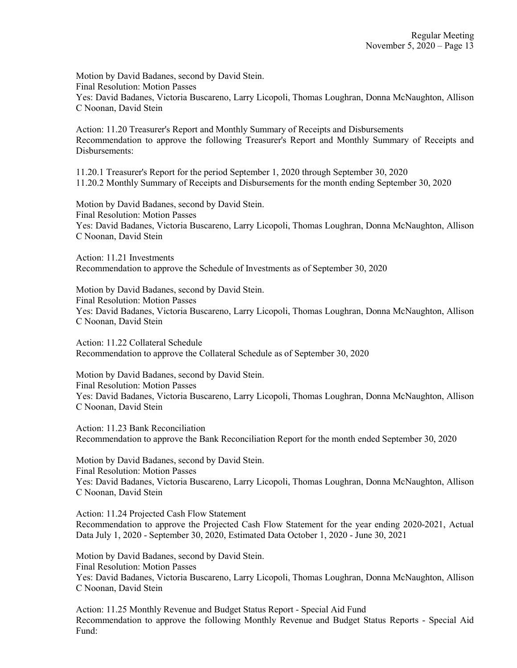Motion by David Badanes, second by David Stein. Final Resolution: Motion Passes Yes: David Badanes, Victoria Buscareno, Larry Licopoli, Thomas Loughran, Donna McNaughton, Allison C Noonan, David Stein

Action: 11.20 Treasurer's Report and Monthly Summary of Receipts and Disbursements Recommendation to approve the following Treasurer's Report and Monthly Summary of Receipts and Disbursements:

11.20.1 Treasurer's Report for the period September 1, 2020 through September 30, 2020 11.20.2 Monthly Summary of Receipts and Disbursements for the month ending September 30, 2020

Motion by David Badanes, second by David Stein. Final Resolution: Motion Passes Yes: David Badanes, Victoria Buscareno, Larry Licopoli, Thomas Loughran, Donna McNaughton, Allison C Noonan, David Stein

Action: 11.21 Investments Recommendation to approve the Schedule of Investments as of September 30, 2020

Motion by David Badanes, second by David Stein. Final Resolution: Motion Passes Yes: David Badanes, Victoria Buscareno, Larry Licopoli, Thomas Loughran, Donna McNaughton, Allison C Noonan, David Stein

Action: 11.22 Collateral Schedule Recommendation to approve the Collateral Schedule as of September 30, 2020

Motion by David Badanes, second by David Stein. Final Resolution: Motion Passes Yes: David Badanes, Victoria Buscareno, Larry Licopoli, Thomas Loughran, Donna McNaughton, Allison C Noonan, David Stein

Action: 11.23 Bank Reconciliation Recommendation to approve the Bank Reconciliation Report for the month ended September 30, 2020

Motion by David Badanes, second by David Stein. Final Resolution: Motion Passes Yes: David Badanes, Victoria Buscareno, Larry Licopoli, Thomas Loughran, Donna McNaughton, Allison C Noonan, David Stein

Action: 11.24 Projected Cash Flow Statement Recommendation to approve the Projected Cash Flow Statement for the year ending 2020-2021, Actual Data July 1, 2020 - September 30, 2020, Estimated Data October 1, 2020 - June 30, 2021

Motion by David Badanes, second by David Stein. Final Resolution: Motion Passes Yes: David Badanes, Victoria Buscareno, Larry Licopoli, Thomas Loughran, Donna McNaughton, Allison C Noonan, David Stein

Action: 11.25 Monthly Revenue and Budget Status Report - Special Aid Fund Recommendation to approve the following Monthly Revenue and Budget Status Reports - Special Aid Fund: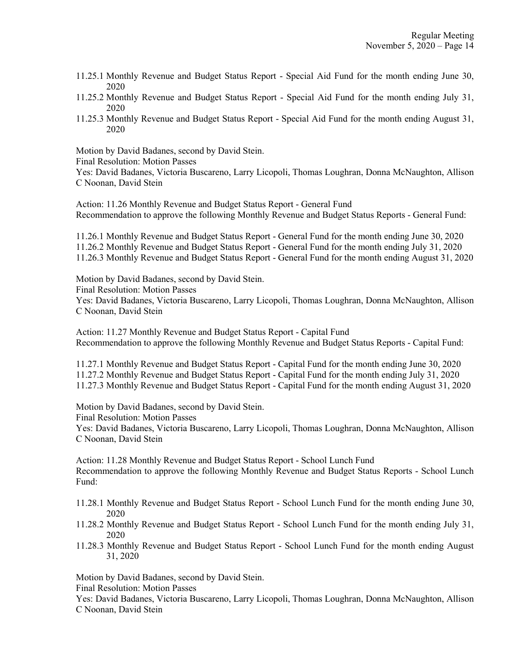- 11.25.1 Monthly Revenue and Budget Status Report Special Aid Fund for the month ending June 30, 2020
- 11.25.2 Monthly Revenue and Budget Status Report Special Aid Fund for the month ending July 31, 2020
- 11.25.3 Monthly Revenue and Budget Status Report Special Aid Fund for the month ending August 31, 2020

Motion by David Badanes, second by David Stein.

Final Resolution: Motion Passes

Yes: David Badanes, Victoria Buscareno, Larry Licopoli, Thomas Loughran, Donna McNaughton, Allison C Noonan, David Stein

Action: 11.26 Monthly Revenue and Budget Status Report - General Fund Recommendation to approve the following Monthly Revenue and Budget Status Reports - General Fund:

11.26.1 Monthly Revenue and Budget Status Report - General Fund for the month ending June 30, 2020 11.26.2 Monthly Revenue and Budget Status Report - General Fund for the month ending July 31, 2020 11.26.3 Monthly Revenue and Budget Status Report - General Fund for the month ending August 31, 2020

Motion by David Badanes, second by David Stein.

Final Resolution: Motion Passes

Yes: David Badanes, Victoria Buscareno, Larry Licopoli, Thomas Loughran, Donna McNaughton, Allison C Noonan, David Stein

Action: 11.27 Monthly Revenue and Budget Status Report - Capital Fund Recommendation to approve the following Monthly Revenue and Budget Status Reports - Capital Fund:

11.27.1 Monthly Revenue and Budget Status Report - Capital Fund for the month ending June 30, 2020 11.27.2 Monthly Revenue and Budget Status Report - Capital Fund for the month ending July 31, 2020 11.27.3 Monthly Revenue and Budget Status Report - Capital Fund for the month ending August 31, 2020

Motion by David Badanes, second by David Stein.

Final Resolution: Motion Passes

Yes: David Badanes, Victoria Buscareno, Larry Licopoli, Thomas Loughran, Donna McNaughton, Allison C Noonan, David Stein

Action: 11.28 Monthly Revenue and Budget Status Report - School Lunch Fund Recommendation to approve the following Monthly Revenue and Budget Status Reports - School Lunch Fund:

- 11.28.1 Monthly Revenue and Budget Status Report School Lunch Fund for the month ending June 30, 2020
- 11.28.2 Monthly Revenue and Budget Status Report School Lunch Fund for the month ending July 31, 2020
- 11.28.3 Monthly Revenue and Budget Status Report School Lunch Fund for the month ending August 31, 2020

Motion by David Badanes, second by David Stein.

Final Resolution: Motion Passes

Yes: David Badanes, Victoria Buscareno, Larry Licopoli, Thomas Loughran, Donna McNaughton, Allison C Noonan, David Stein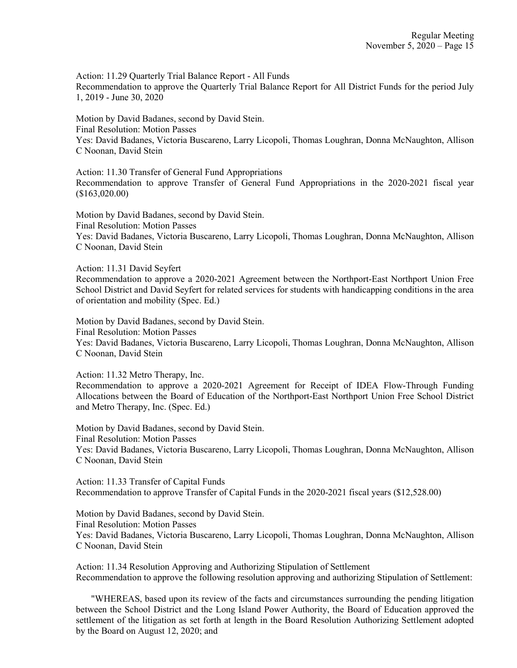Action: 11.29 Quarterly Trial Balance Report - All Funds Recommendation to approve the Quarterly Trial Balance Report for All District Funds for the period July 1, 2019 - June 30, 2020

Motion by David Badanes, second by David Stein. Final Resolution: Motion Passes Yes: David Badanes, Victoria Buscareno, Larry Licopoli, Thomas Loughran, Donna McNaughton, Allison C Noonan, David Stein

Action: 11.30 Transfer of General Fund Appropriations Recommendation to approve Transfer of General Fund Appropriations in the 2020-2021 fiscal year (\$163,020.00)

Motion by David Badanes, second by David Stein. Final Resolution: Motion Passes Yes: David Badanes, Victoria Buscareno, Larry Licopoli, Thomas Loughran, Donna McNaughton, Allison C Noonan, David Stein

Action: 11.31 David Seyfert

Recommendation to approve a 2020-2021 Agreement between the Northport-East Northport Union Free School District and David Seyfert for related services for students with handicapping conditions in the area of orientation and mobility (Spec. Ed.)

Motion by David Badanes, second by David Stein. Final Resolution: Motion Passes Yes: David Badanes, Victoria Buscareno, Larry Licopoli, Thomas Loughran, Donna McNaughton, Allison C Noonan, David Stein

Action: 11.32 Metro Therapy, Inc.

Recommendation to approve a 2020-2021 Agreement for Receipt of IDEA Flow-Through Funding Allocations between the Board of Education of the Northport-East Northport Union Free School District and Metro Therapy, Inc. (Spec. Ed.)

Motion by David Badanes, second by David Stein. Final Resolution: Motion Passes Yes: David Badanes, Victoria Buscareno, Larry Licopoli, Thomas Loughran, Donna McNaughton, Allison C Noonan, David Stein

Action: 11.33 Transfer of Capital Funds Recommendation to approve Transfer of Capital Funds in the 2020-2021 fiscal years (\$12,528.00)

Motion by David Badanes, second by David Stein. Final Resolution: Motion Passes Yes: David Badanes, Victoria Buscareno, Larry Licopoli, Thomas Loughran, Donna McNaughton, Allison C Noonan, David Stein

Action: 11.34 Resolution Approving and Authorizing Stipulation of Settlement Recommendation to approve the following resolution approving and authorizing Stipulation of Settlement:

 "WHEREAS, based upon its review of the facts and circumstances surrounding the pending litigation between the School District and the Long Island Power Authority, the Board of Education approved the settlement of the litigation as set forth at length in the Board Resolution Authorizing Settlement adopted by the Board on August 12, 2020; and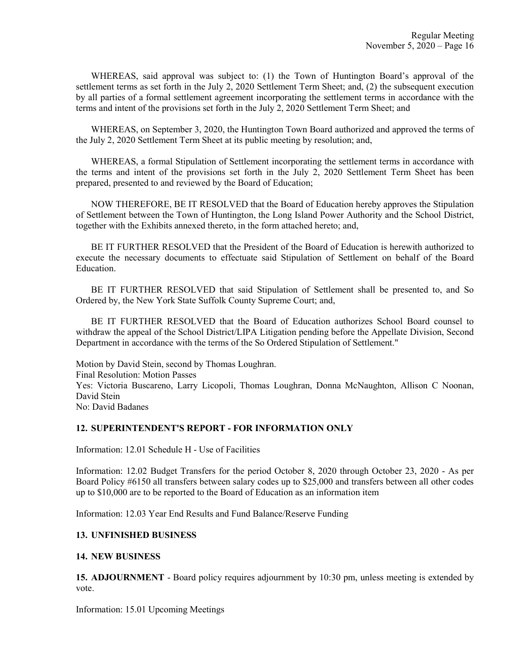WHEREAS, said approval was subject to: (1) the Town of Huntington Board's approval of the settlement terms as set forth in the July 2, 2020 Settlement Term Sheet; and, (2) the subsequent execution by all parties of a formal settlement agreement incorporating the settlement terms in accordance with the terms and intent of the provisions set forth in the July 2, 2020 Settlement Term Sheet; and

 WHEREAS, on September 3, 2020, the Huntington Town Board authorized and approved the terms of the July 2, 2020 Settlement Term Sheet at its public meeting by resolution; and,

 WHEREAS, a formal Stipulation of Settlement incorporating the settlement terms in accordance with the terms and intent of the provisions set forth in the July 2, 2020 Settlement Term Sheet has been prepared, presented to and reviewed by the Board of Education;

 NOW THEREFORE, BE IT RESOLVED that the Board of Education hereby approves the Stipulation of Settlement between the Town of Huntington, the Long Island Power Authority and the School District, together with the Exhibits annexed thereto, in the form attached hereto; and,

 BE IT FURTHER RESOLVED that the President of the Board of Education is herewith authorized to execute the necessary documents to effectuate said Stipulation of Settlement on behalf of the Board Education.

 BE IT FURTHER RESOLVED that said Stipulation of Settlement shall be presented to, and So Ordered by, the New York State Suffolk County Supreme Court; and,

 BE IT FURTHER RESOLVED that the Board of Education authorizes School Board counsel to withdraw the appeal of the School District/LIPA Litigation pending before the Appellate Division, Second Department in accordance with the terms of the So Ordered Stipulation of Settlement."

Motion by David Stein, second by Thomas Loughran. Final Resolution: Motion Passes Yes: Victoria Buscareno, Larry Licopoli, Thomas Loughran, Donna McNaughton, Allison C Noonan, David Stein No: David Badanes

## 12. SUPERINTENDENT'S REPORT - FOR INFORMATION ONLY

Information: 12.01 Schedule H - Use of Facilities

Information: 12.02 Budget Transfers for the period October 8, 2020 through October 23, 2020 - As per Board Policy #6150 all transfers between salary codes up to \$25,000 and transfers between all other codes up to \$10,000 are to be reported to the Board of Education as an information item

Information: 12.03 Year End Results and Fund Balance/Reserve Funding

### 13. UNFINISHED BUSINESS

### 14. NEW BUSINESS

15. ADJOURNMENT - Board policy requires adjournment by 10:30 pm, unless meeting is extended by vote.

Information: 15.01 Upcoming Meetings